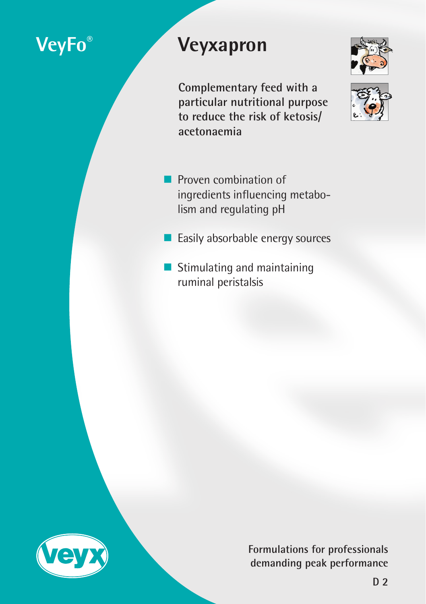# **VeyFo® Veyxapron**

**Complementary feed with a particular nutritional purpose to reduce the risk of ketosis/ acetonaemia**

- **Proven combination of** ingredients influencing metabolism and regulating pH
- **Easily absorbable energy sources**
- **Stimulating and maintaining** ruminal peristalsis



**Formulations for professionals demanding peak performance**



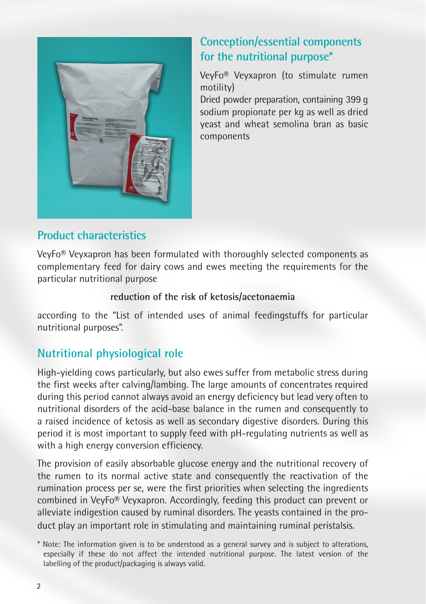

# **Conception/essential components for the nutritional purpose\***

VeyFo® Veyxapron (to stimulate rumen motility)

Dried powder preparation, containing 399 g sodium propionate per kg as well as dried yeast and wheat semolina bran as basic components

# **Product characteristics**

VeyFo® Veyxapron has been formulated with thoroughly selected components as complementary feed for dairy cows and ewes meeting the requirements for the particular nutritional purpose

#### **reduction of the risk of ketosis/acetonaemia**

according to the "List of intended uses of animal feedingstuffs for particular nutritional purposes".

# **Nutritional physiological role**

High-yielding cows particularly, but also ewes suffer from metabolic stress during the first weeks after calving/lambing. The large amounts of concentrates required during this period cannot always avoid an energy deficiency but lead very often to nutritional disorders of the acid-base balance in the rumen and consequently to a raised incidence of ketosis as well as secondary digestive disorders. During this period it is most important to supply feed with pH-regulating nutrients as well as with a high energy conversion efficiency.

The provision of easily absorbable glucose energy and the nutritional recovery of the rumen to its normal active state and consequently the reactivation of the rumination process per se, were the first priorities when selecting the ingredients combined in VeyFo® Veyxapron. Accordingly, feeding this product can prevent or alleviate indigestion caused by ruminal disorders. The yeasts contained in the product play an important role in stimulating and maintaining ruminal peristalsis.

<sup>\*</sup> Note: The information given is to be understood as a general survey and is subject to alterations, especially if these do not affect the intended nutritional purpose. The latest version of the labelling of the product/packaging is always valid.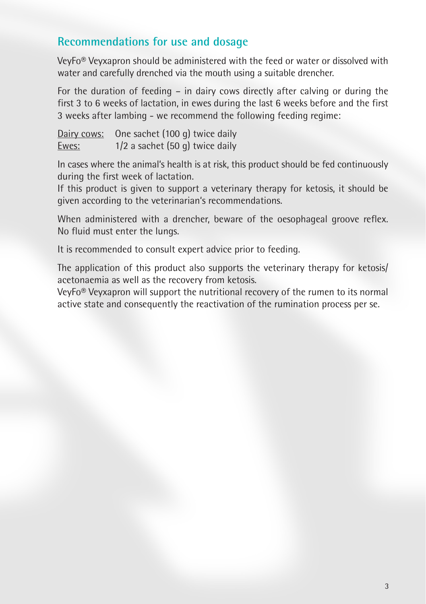### **Recommendations for use and dosage**

VeyFo® Veyxapron should be administered with the feed or water or dissolved with water and carefully drenched via the mouth using a suitable drencher.

For the duration of feeding – in dairy cows directly after calving or during the first 3 to 6 weeks of lactation, in ewes during the last 6 weeks before and the first 3 weeks after lambing - we recommend the following feeding regime:

|       | Dairy cows: One sachet (100 g) twice daily |
|-------|--------------------------------------------|
| Ewes: | $1/2$ a sachet (50 g) twice daily          |

In cases where the animal's health is at risk, this product should be fed continuously during the first week of lactation.

If this product is given to support a veterinary therapy for ketosis, it should be given according to the veterinarian's recommendations.

When administered with a drencher, beware of the oesophageal groove reflex. No fluid must enter the lungs.

It is recommended to consult expert advice prior to feeding.

The application of this product also supports the veterinary therapy for ketosis/ acetonaemia as well as the recovery from ketosis.

VeyFo® Veyxapron will support the nutritional recovery of the rumen to its normal active state and consequently the reactivation of the rumination process per se.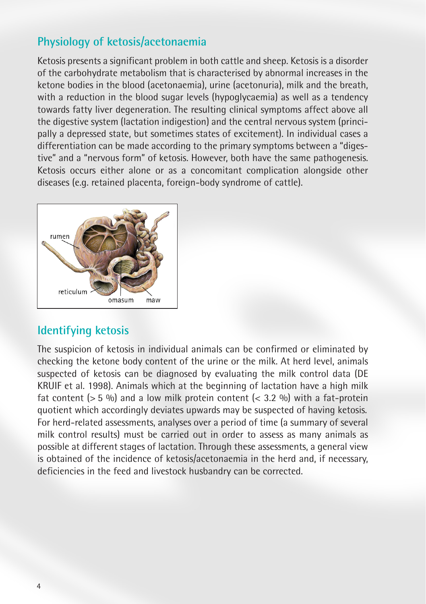### **Physiology of ketosis/acetonaemia**

Ketosis presents a significant problem in both cattle and sheep. Ketosis is a disorder of the carbohydrate metabolism that is characterised by abnormal increases in the ketone bodies in the blood (acetonaemia), urine (acetonuria), milk and the breath, with a reduction in the blood sugar levels (hypoglycaemia) as well as a tendency towards fatty liver degeneration. The resulting clinical symptoms affect above all the digestive system (lactation indigestion) and the central nervous system (principally a depressed state, but sometimes states of excitement). In individual cases a differentiation can be made according to the primary symptoms between a "digestive" and a "nervous form" of ketosis. However, both have the same pathogenesis. Ketosis occurs either alone or as a concomitant complication alongside other diseases (e.g. retained placenta, foreign-body syndrome of cattle).



#### **Identifying ketosis**

The suspicion of ketosis in individual animals can be confirmed or eliminated by checking the ketone body content of the urine or the milk. At herd level, animals suspected of ketosis can be diagnosed by evaluating the milk control data (DE KRUIF et al. 1998). Animals which at the beginning of lactation have a high milk fat content ( $> 5\%$ ) and a low milk protein content ( $< 3.2\%$ ) with a fat-protein quotient which accordingly deviates upwards may be suspected of having ketosis. For herd-related assessments, analyses over a period of time (a summary of several milk control results) must be carried out in order to assess as many animals as possible at different stages of lactation. Through these assessments, a general view is obtained of the incidence of ketosis/acetonaemia in the herd and, if necessary, deficiencies in the feed and livestock husbandry can be corrected.

4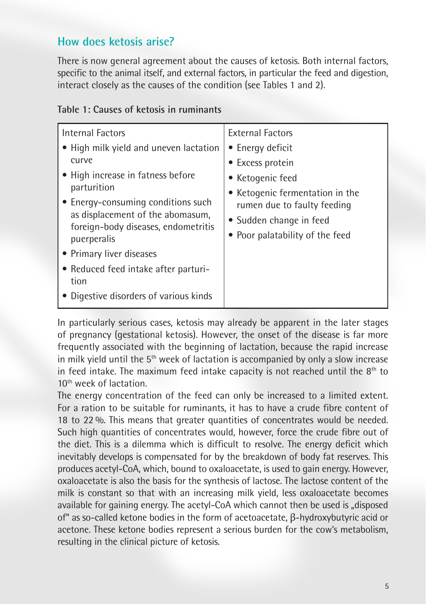### **How does ketosis arise?**

There is now general agreement about the causes of ketosis. Both internal factors, specific to the animal itself, and external factors, in particular the feed and digestion, interact closely as the causes of the condition (see Tables 1 and 2).

| Internal Factors<br>• High milk yield and uneven lactation<br>curve<br>• High increase in fatness before<br>parturition<br>• Energy-consuming conditions such<br>as displacement of the abomasum,<br>foreign-body diseases, endometritis<br>puerperalis<br>• Primary liver diseases<br>• Reduced feed intake after parturi-<br>tion<br>• Digestive disorders of various kinds | <b>External Factors</b><br>• Energy deficit<br>• Excess protein<br>• Ketogenic feed<br>• Ketogenic fermentation in the<br>rumen due to faulty feeding<br>• Sudden change in feed<br>• Poor palatability of the feed |
|-------------------------------------------------------------------------------------------------------------------------------------------------------------------------------------------------------------------------------------------------------------------------------------------------------------------------------------------------------------------------------|---------------------------------------------------------------------------------------------------------------------------------------------------------------------------------------------------------------------|
|-------------------------------------------------------------------------------------------------------------------------------------------------------------------------------------------------------------------------------------------------------------------------------------------------------------------------------------------------------------------------------|---------------------------------------------------------------------------------------------------------------------------------------------------------------------------------------------------------------------|

#### **Table 1: Causes of ketosis in ruminants**

In particularly serious cases, ketosis may already be apparent in the later stages of pregnancy (gestational ketosis). However, the onset of the disease is far more frequently associated with the beginning of lactation, because the rapid increase in milk yield until the 5<sup>th</sup> week of lactation is accompanied by only a slow increase in feed intake. The maximum feed intake capacity is not reached until the  $8<sup>th</sup>$  to 10th week of lactation.

The energy concentration of the feed can only be increased to a limited extent. For a ration to be suitable for ruminants, it has to have a crude fibre content of 18 to 22 %. This means that greater quantities of concentrates would be needed. Such high quantities of concentrates would, however, force the crude fibre out of the diet. This is a dilemma which is difficult to resolve. The energy deficit which inevitably develops is compensated for by the breakdown of body fat reserves. This produces acetyl-CoA, which, bound to oxaloacetate, is used to gain energy. However, oxaloacetate is also the basis for the synthesis of lactose. The lactose content of the milk is constant so that with an increasing milk yield, less oxaloacetate becomes available for gaining energy. The acetyl-CoA which cannot then be used is "disposed" of" as so-called ketone bodies in the form of acetoacetate, β-hydroxybutyric acid or acetone. These ketone bodies represent a serious burden for the cow's metabolism, resulting in the clinical picture of ketosis.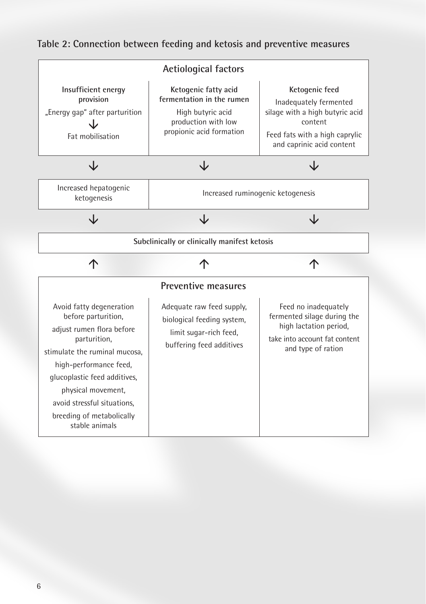# **Table 2: Connection between feeding and ketosis and preventive measures**

| <b>Actiological factors</b>                                                            |                                                                                                                           |                                                                                                                                                       |  |  |
|----------------------------------------------------------------------------------------|---------------------------------------------------------------------------------------------------------------------------|-------------------------------------------------------------------------------------------------------------------------------------------------------|--|--|
| Insufficient energy<br>provision<br>"Energy gap" after parturition<br>Fat mobilisation | Ketogenic fatty acid<br>fermentation in the rumen<br>High butyric acid<br>production with low<br>propionic acid formation | Ketogenic feed<br>Inadequately fermented<br>silage with a high butyric acid<br>content<br>Feed fats with a high caprylic<br>and caprinic acid content |  |  |
|                                                                                        | J۷                                                                                                                        |                                                                                                                                                       |  |  |
| Increased hepatogenic<br>ketogenesis                                                   | Increased ruminogenic ketogenesis                                                                                         |                                                                                                                                                       |  |  |
|                                                                                        |                                                                                                                           |                                                                                                                                                       |  |  |
| Subclinically or clinically manifest ketosis                                           |                                                                                                                           |                                                                                                                                                       |  |  |
|                                                                                        |                                                                                                                           |                                                                                                                                                       |  |  |
| Preventive measures                                                                    |                                                                                                                           |                                                                                                                                                       |  |  |
|                                                                                        |                                                                                                                           |                                                                                                                                                       |  |  |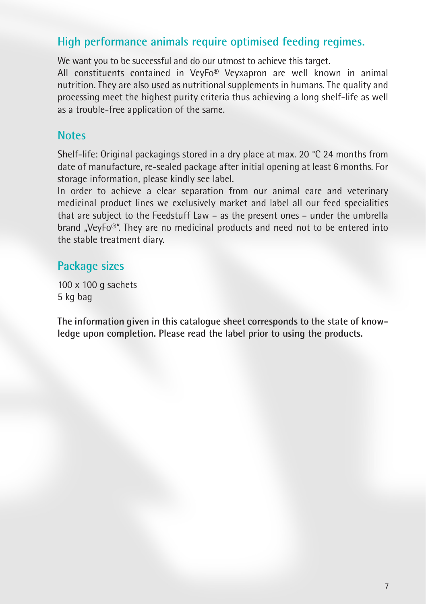# **High performance animals require optimised feeding regimes.**

We want you to be successful and do our utmost to achieve this target.

All constituents contained in VeyFo® Veyxapron are well known in animal nutrition. They are also used as nutritional supplements in humans. The quality and processing meet the highest purity criteria thus achieving a long shelf-life as well as a trouble-free application of the same.

### **Notes**

Shelf-life: Original packagings stored in a dry place at max. 20 °C 24 months from date of manufacture, re-sealed package after initial opening at least 6 months. For storage information, please kindly see label.

In order to achieve a clear separation from our animal care and veterinary medicinal product lines we exclusively market and label all our feed specialities that are subject to the Feedstuff Law – as the present ones – under the umbrella brand "VeyFo®". They are no medicinal products and need not to be entered into the stable treatment diary.

#### **Package sizes**

100 x 100 g sachets 5 kg bag

**The information given in this catalogue sheet corresponds to the state of knowledge upon completion. Please read the label prior to using the products.**